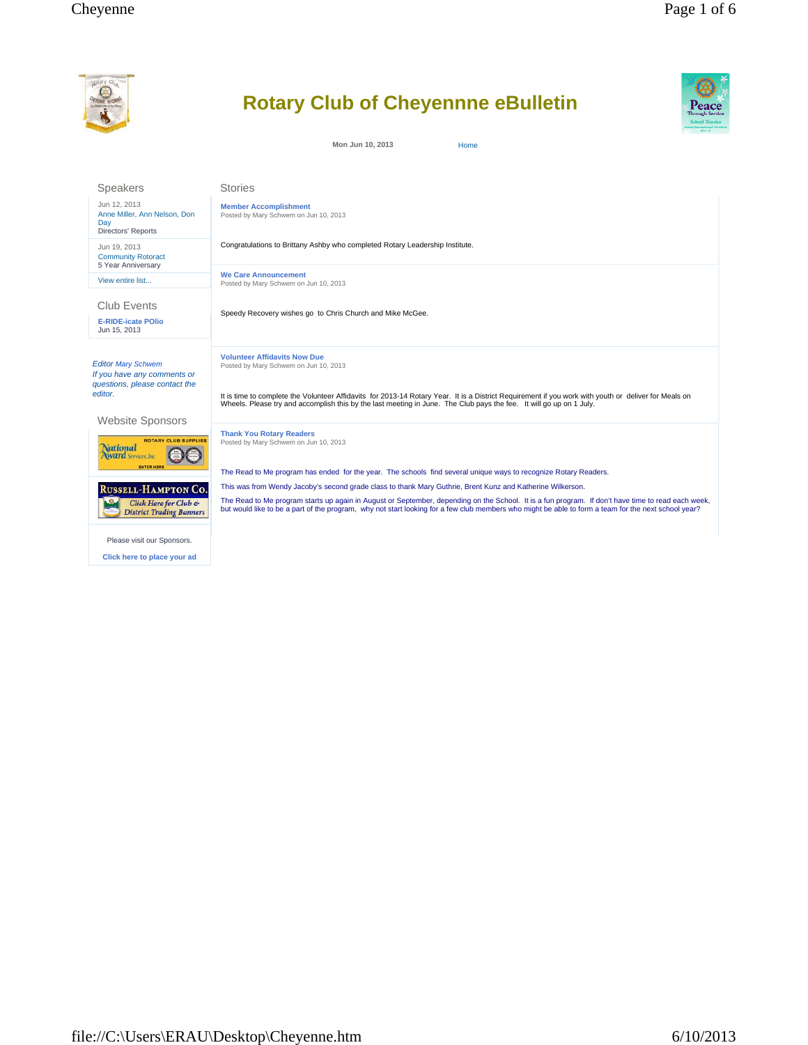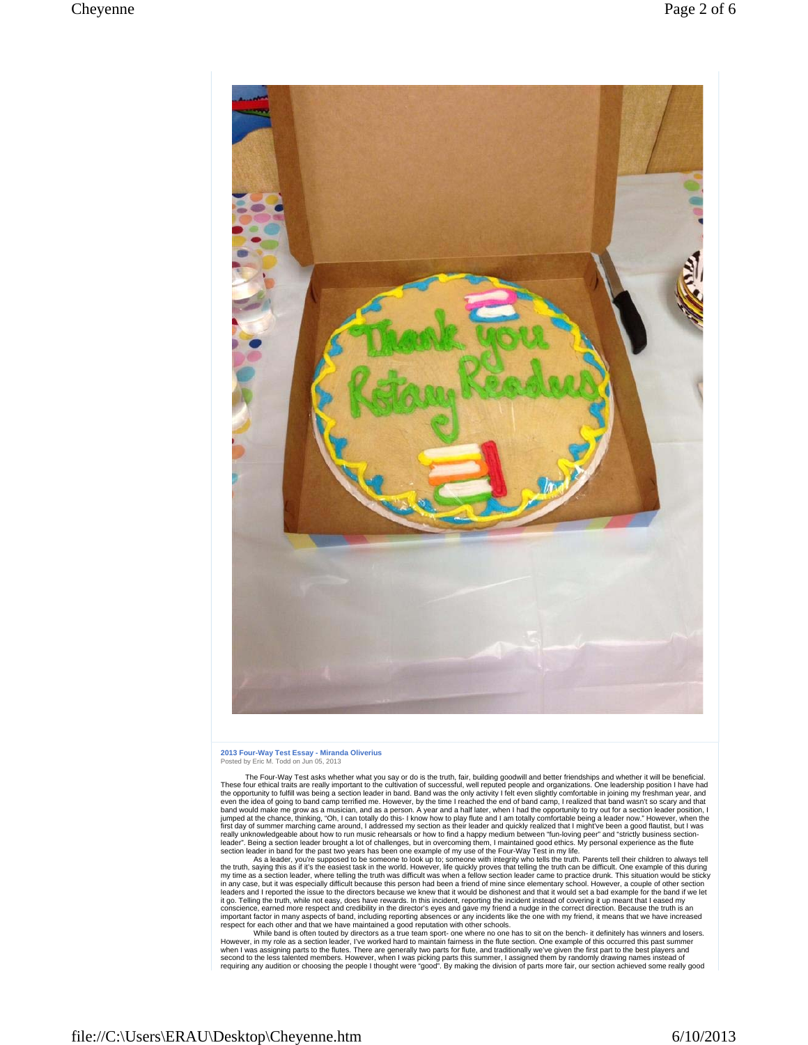

## **2013 Four-Way Test Essay - Miranda Oliverius** Posted by Eric M. Todd on Jun 05, 2013

 The Four-Way Test asks whether what you say or do is the truth, fair, building goodwill and better friendships and whether it will be beneficial. These four ethical traits are really important to the cultivation of successful, well reputed people and organizations. One leadership position I have had<br>the opportunity to fulfill was being a section leader in band. Ban band would make me grow as a musician, and as a person. A year and a half later, when I had the opportunity to try out for a section leader position, I jumped at the chancer position, I funded prospection and a spectral re

section leader in band for the past two years has been one example of my use of the Four-Way Test in my life.<br>As a leader, you're supposed to be someone to look up to; someone with integrity who tells the truth. Parents te my time as a section leader, where telling the truth was difficult was when a fellow section leader came to practice drunk. This situation would be sticky<br>in any case, but it was especially difficult because this person ha it go. Telling the truth, while not easy, does have rewards. In this incident, reporting the incident instead of covering it up meant that leased my<br>conscience, earned more respect and credibility in the director's eyes an

However, in my role as a section leader, I've worked hard to maintain fairness in the flute section. One example of this occurred this past summer<br>when I was assigning parts to the flutes. There are generally two parts for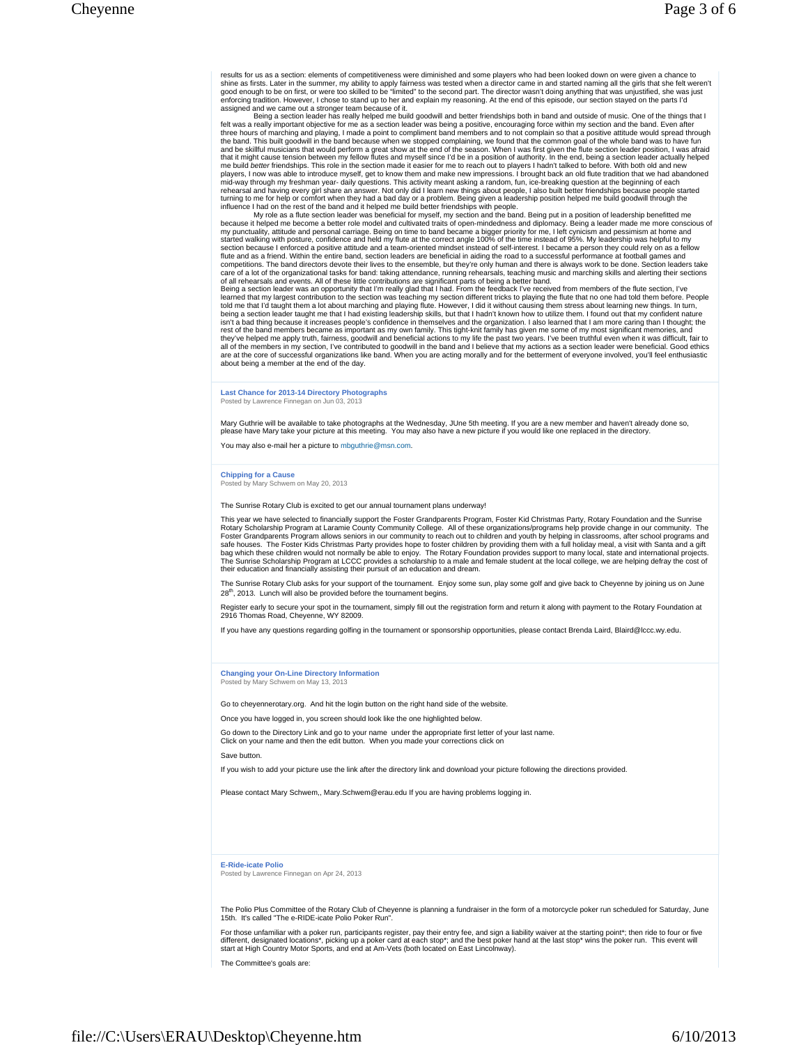results for us as a section: elements of competitiveness were diminished and some players who had been looked down on were given a chance to<br>shine as firsts. Later in the summer, my ability to apply fairness was tested whe enforcing tradition. However, I chose to stand up to her and explain my reasoning. At the end of this episode, our section stayed on the parts I'd<br>assigned and we came out a stronger team because of it.<br>Being a section lea

felt was a really important objective for me as a section leader was being a positive, encouraging force within my section and the band. Even after<br>three hours of marching and playing, I made a point to compliment band mem the band. This built goodwill in the band because when we stopped complaining, we found that the common goal of the whole band was to have fund<br>and be skilful musicians that would perform a great show at the end of the sea mid-way through my freshman year- daily questions. This activity meant asking a random, fun, ice-breaking question at the beginning of each<br>rehearsal and having every girl share an answer. Not only did I learn new things a

influence I had on the rest of the band and it helped me build better friendships with people.<br>My role as a flute section leader was beneficial for myself, my section and the band. Being put in a position of leadership ben my punctuality, attitude and personal carriage. Being on time to band became a bigger priority for me, I left cynicism and pessimism at home and<br>started walking with posture, confidence and held my flute at the correct ang flute and as a friend. Within the entire band, section leaders are beneficial in aiding the road to a successful performance at football games and<br>competitions. The band directors devote their lives to the ensemble, but th of all rehearsals and events. All of these little contributions are significant parts of being a better band.<br>Being a section leader was an opportunity that I'm really glad that I had. From the feedback I've received from

learned that my largest contribution to the section was teaching my section different tricks to playing the flute that no one had told them before. People<br>told me that I'd taught them a lot about marching and playing flute isn't a bad thing because it increases people's confidence in themselves and the organization. I also learned that I am more caring than I thought; the<br>rest of the band members became as important as my own family. This ti all of the members in my section, I've contributed to goodwill in the band and I believe that my actions as a section leader were beneficial. Good ethics<br>are at the core of successful organizations like band. When you are about being a member at the end of the day.

**Last Chance for 2013-14 Directory Photographs** Posted by Lawrence Finnegan on Jun 03, 2013

Mary Guthrie will be available to take photographs at the Wednesday, JUne 5th meeting. If you are a new member and haven't already done so,<br>please have Mary take your picture at this meeting. You may also have a new pictur

You may also e-mail her a picture to mbguthrie@msn.com.

## **Chipping for a Cause**

Posted by Mary Schwem on May 20, 2013

The Sunrise Rotary Club is excited to get our annual tournament plans underway!

This year we have selected to financially support the Foster Grandparents Program, Foster Kid Christmas Party, Rotary Foundation and the Sunrise Rotary Scholarship Program at Laramie County Community College. All of these organizations/programs help provide change in our community. The<br>Foster Grandparents Program allows seniors in our community to reach out to chil their education and financially assisting their pursuit of an education and dream.

The Sunrise Rotary Club asks for your support of the tournament. Enjoy some sun, play some golf and give back to Cheyenne by joining us on June 28<sup>th</sup>, 2013. Lunch will also be provided before the tournament begins.

Register early to secure your spot in the tournament, simply fill out the registration form and return it along with payment to the Rotary Foundation at 2916 Thomas Road, Cheyenne, WY 82009.

If you have any questions regarding golfing in the tournament or sponsorship opportunities, please contact Brenda Laird, Blaird@lccc.wy.edu.

**Changing your On-Line Directory Information** Posted by Mary Schwem on May 13, 2013

Go to cheyennerotary.org. And hit the login button on the right hand side of the website.

Once you have logged in, you screen should look like the one highlighted below.

Go down to the Directory Link and go to your name under the appropriate first letter of your last name. Click on your name and then the edit button. When you made your corrections click on

Save button.

If you wish to add your picture use the link after the directory link and download your picture following the directions provided.

Please contact Mary Schwem,, Mary.Schwem@erau.edu If you are having problems logging in.

**E-Ride-icate Polio**

Posted by Lawrence Finnegan on Apr 24, 2013

The Polio Plus Committee of the Rotary Club of Cheyenne is planning a fundraiser in the form of a motorcycle poker run scheduled for Saturday, June 15th. It's called "The e-RIDE-icate Polio Poker Run".

For those unfamiliar with a poker run, participants register, pay their entry fee, and sign a liability waiver at the starting point\*; then ride to four or five<br>different, designated locations\*, picking up a poker card at start at High Country Motor Sports, and end at Am-Vets (both located on East Lincolnway).

The Committee's goals are: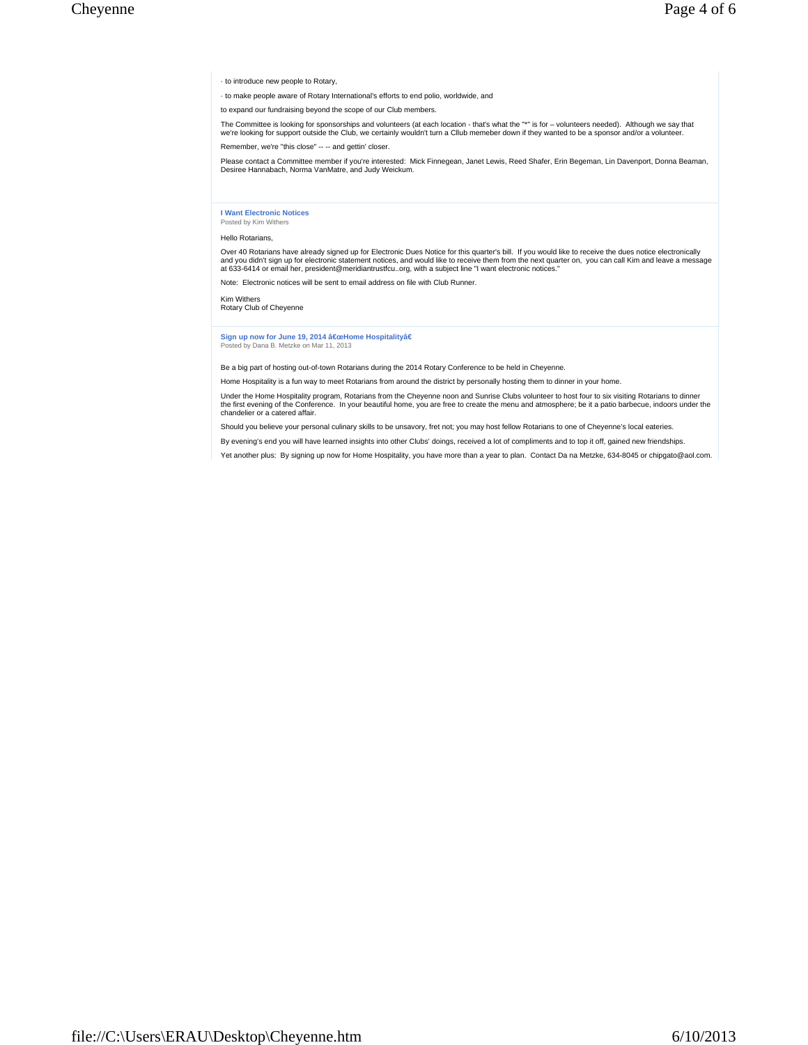· to introduce new people to Rotary,

· to make people aware of Rotary International's efforts to end polio, worldwide, and

to expand our fundraising beyond the scope of our Club members.

The Committee is looking for sponsorships and volunteers (at each location - that's what the "\*" is for – volunteers needed). Although we say that we're looking for support outside the Club, we certainly wouldn't turn a Cllub memeber down if they wanted to be a sponsor and/or a volunteer. Remember, we're "this close" -- -- and gettin' closer.

Please contact a Committee member if you're interested: Mick Finnegean, Janet Lewis, Reed Shafer, Erin Begeman, Lin Davenport, Donna Beaman,<br>Desiree Hannabach, Norma VanMatre, and Judy Weickum.

## **I Want Electronic Notices** Posted by Kim Withers

Hello Rotarians,

Over 40 Rotarians have already signed up for Electronic Dues Notice for this quarter's bill. If you would like to receive the dues notice electronically and you didn't sign up for electronic statement notices, and would like to receive them from the next quarter on, you can call Kim and leave a message<br>at 633-6414 or email her, president@meridiantrustfcu..org, with a subje

Note: Electronic notices will be sent to email address on file with Club Runner.

Kim Withers

Rotary Club of Cheyenne

## **Sign up now for June 19, 2014 "Home Hospitalityâ€**<br>Posted by Dana B. Metzke on Mar 11, 2013

Be a big part of hosting out-of-town Rotarians during the 2014 Rotary Conference to be held in Cheyenne.

Home Hospitality is a fun way to meet Rotarians from around the district by personally hosting them to dinner in your home.

Under the Home Hospitality program, Rotarians from the Cheyenne noon and Sunrise Clubs volunteer to host four to six visiting Rotarians to dinner<br>the first evening of the Conference. In your beautiful home, you are free to chandelier or a catered affair.

Should you believe your personal culinary skills to be unsavory, fret not; you may host fellow Rotarians to one of Cheyenne's local eateries.

By evening's end you will have learned insights into other Clubs' doings, received a lot of compliments and to top it off, gained new friendships.

Yet another plus: By signing up now for Home Hospitality, you have more than a year to plan. Contact Da na Metzke, 634-8045 or chipgato@aol.com.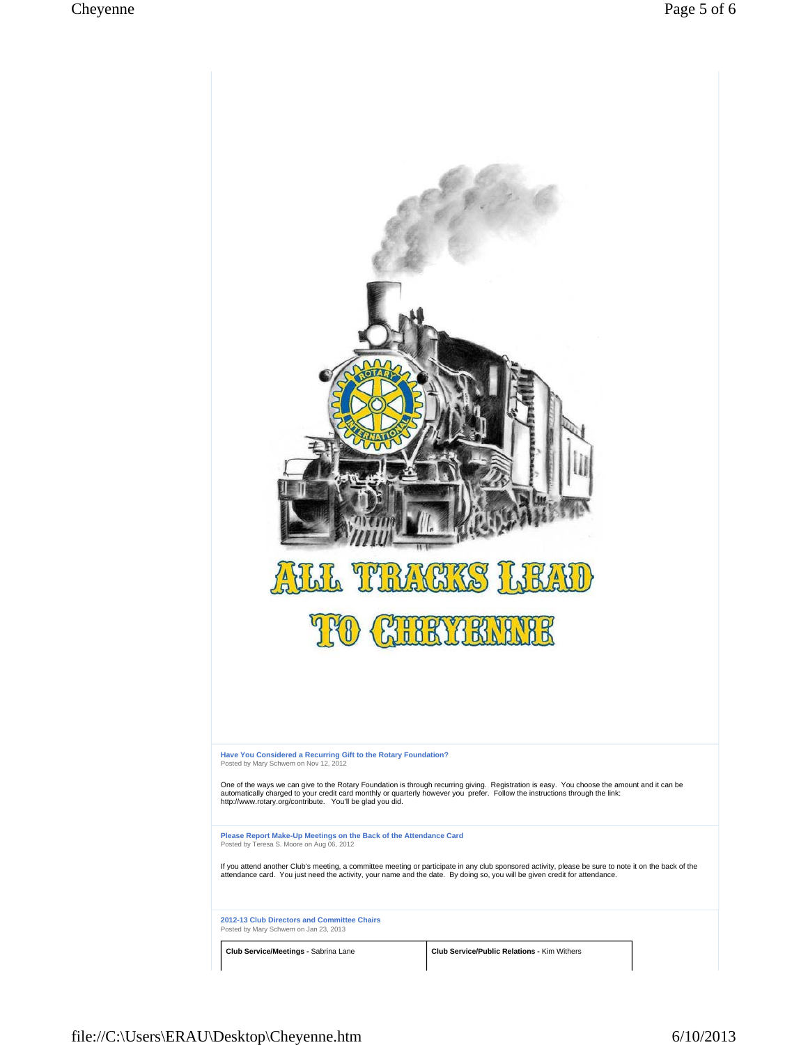